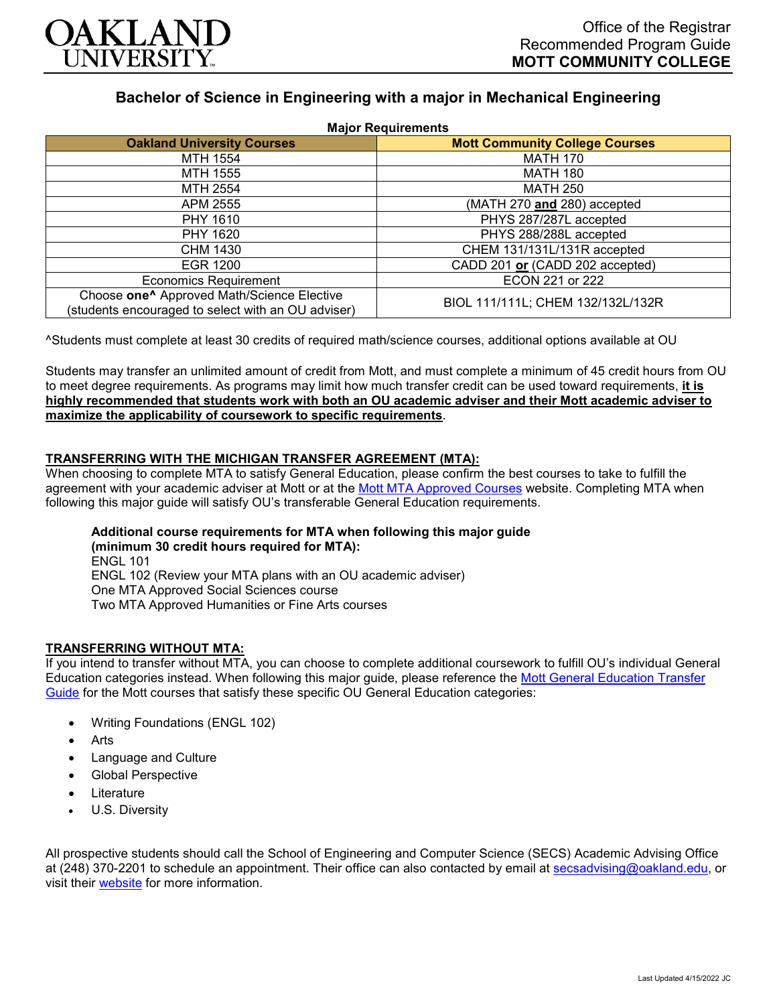

# **Bachelor of Science in Engineering with a major in Mechanical Engineering**

| <b>Major Requirements</b>                                                                                    |                                       |
|--------------------------------------------------------------------------------------------------------------|---------------------------------------|
| <b>Oakland University Courses</b>                                                                            | <b>Mott Community College Courses</b> |
| MTH 1554                                                                                                     | <b>MATH 170</b>                       |
| MTH 1555                                                                                                     | <b>MATH 180</b>                       |
| MTH 2554                                                                                                     | <b>MATH 250</b>                       |
| APM 2555                                                                                                     | (MATH 270 and 280) accepted           |
| PHY 1610                                                                                                     | PHYS 287/287L accepted                |
| PHY 1620                                                                                                     | PHYS 288/288L accepted                |
| CHM 1430                                                                                                     | CHEM 131/131L/131R accepted           |
| EGR 1200                                                                                                     | CADD 201 or (CADD 202 accepted)       |
| <b>Economics Requirement</b>                                                                                 | ECON 221 or 222                       |
| Choose one <sup>^</sup> Approved Math/Science Elective<br>(students encouraged to select with an OU adviser) | BIOL 111/111L; CHEM 132/132L/132R     |

^Students must complete at least 30 credits of required math/science courses, additional options available at OU

Students may transfer an unlimited amount of credit from Mott, and must complete a minimum of 45 credit hours from OU to meet degree requirements. As programs may limit how much transfer credit can be used toward requirements, **it is highly recommended that students work with both an OU academic adviser and their Mott academic adviser to maximize the applicability of coursework to specific requirements**.

## **TRANSFERRING WITH THE MICHIGAN TRANSFER AGREEMENT (MTA):**

When choosing to complete MTA to satisfy General Education, please confirm the best courses to take to fulfill the agreement with your academic adviser at Mott or at the [Mott MTA Approved Courses](https://www.mcc.edu/counseling_student_dev/casd_mi_transfer_agreement.shtml) website. Completing MTA when following this major guide will satisfy OU's transferable General Education requirements.

## **Additional course requirements for MTA when following this major guide (minimum 30 credit hours required for MTA):** ENGL 101 ENGL 102 (Review your MTA plans with an OU academic adviser)

One MTA Approved Social Sciences course

Two MTA Approved Humanities or Fine Arts courses

## **TRANSFERRING WITHOUT MTA:**

If you intend to transfer without MTA, you can choose to complete additional coursework to fulfill OU's individual General Education categories instead. When following this major guide, please reference the [Mott General Education Transfer](https://www.oakland.edu/Assets/Oakland/program-guides/mott-community-college/university-general-education-requirements/Mott%20Gen%20Ed.pdf)  [Guide](https://www.oakland.edu/Assets/Oakland/program-guides/mott-community-college/university-general-education-requirements/Mott%20Gen%20Ed.pdf) for the Mott courses that satisfy these specific OU General Education categories:

- Writing Foundations (ENGL 102)
- **Arts**
- Language and Culture
- Global Perspective
- **Literature**
- U.S. Diversity

All prospective students should call the School of Engineering and Computer Science (SECS) Academic Advising Office at (248) 370-2201 to schedule an appointment. Their office can also contacted by email at [secsadvising@oakland.edu,](mailto:secsadvising@oakland.edu) or visit their [website](https://wwwp.oakland.edu/secs/advising/) for more information.